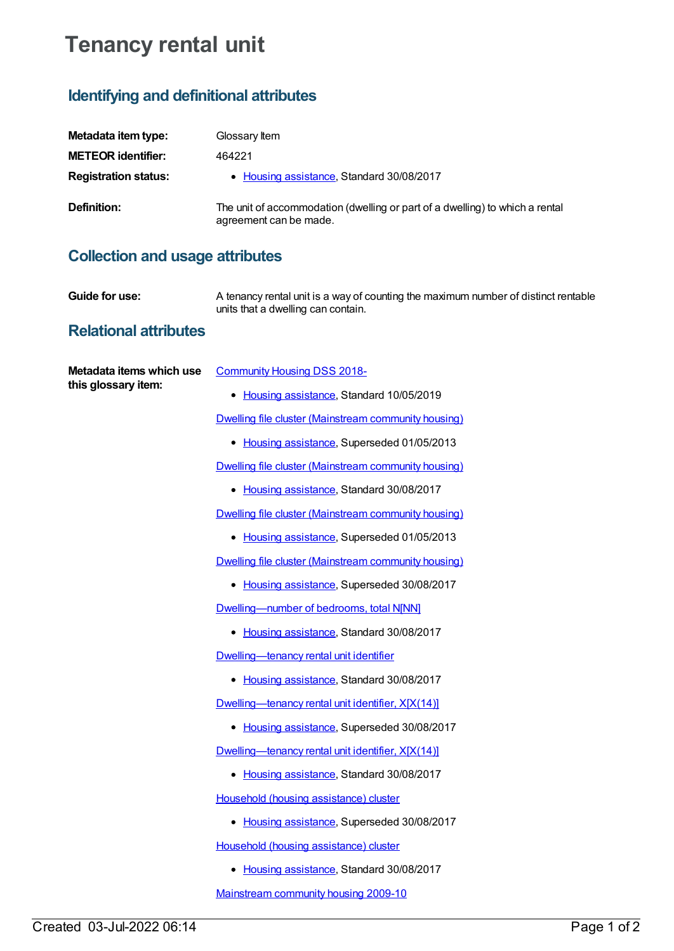# **Tenancy rental unit**

### **Identifying and definitional attributes**

| Metadata item type:         | Glossary Item                                                                                          |
|-----------------------------|--------------------------------------------------------------------------------------------------------|
| <b>METEOR identifier:</b>   | 464221                                                                                                 |
| <b>Registration status:</b> | • Housing assistance, Standard 30/08/2017                                                              |
| Definition:                 | The unit of accommodation (dwelling or part of a dwelling) to which a rental<br>agreement can be made. |

## **Collection and usage attributes**

**Guide for use:** A tenancy rental unit is a way of counting the maximum number of distinct rentable units that a dwelling can contain.

#### **Relational attributes**

| Metadata items which use<br>this glossary item: | <b>Community Housing DSS 2018-</b>                   |
|-------------------------------------------------|------------------------------------------------------|
|                                                 | • Housing assistance, Standard 10/05/2019            |
|                                                 | Dwelling file cluster (Mainstream community housing) |
|                                                 | • Housing assistance, Superseded 01/05/2013          |
|                                                 | Dwelling file cluster (Mainstream community housing) |
|                                                 | • Housing assistance, Standard 30/08/2017            |
|                                                 | Dwelling file cluster (Mainstream community housing) |
|                                                 | • Housing assistance, Superseded 01/05/2013          |
|                                                 | Dwelling file cluster (Mainstream community housing) |
|                                                 | • Housing assistance, Superseded 30/08/2017          |
|                                                 | Dwelling-number of bedrooms, total NJNN]             |
|                                                 | • Housing assistance, Standard 30/08/2017            |
|                                                 | Dwelling-tenancy rental unit identifier              |
|                                                 | • Housing assistance, Standard 30/08/2017            |
|                                                 | Dwelling-tenancy rental unit identifier, X[X(14)]    |
|                                                 | • Housing assistance, Superseded 30/08/2017          |
|                                                 | Dwelling-tenancy rental unit identifier, X[X(14)]    |
|                                                 | • Housing assistance, Standard 30/08/2017            |
|                                                 | Household (housing assistance) cluster               |
|                                                 | • Housing assistance, Superseded 30/08/2017          |
|                                                 | Household (housing assistance) cluster               |
|                                                 | • Housing assistance, Standard 30/08/2017            |
|                                                 | Mainstream community housing 2009-10                 |